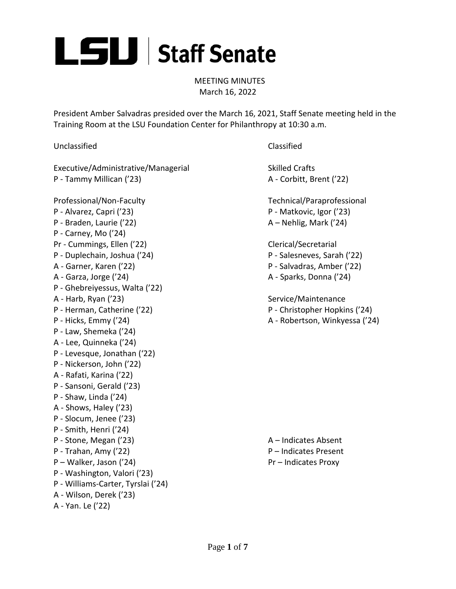

MEETING MINUTES March 16, 2022

President Amber Salvadras presided over the March 16, 2021, Staff Senate meeting held in the Training Room at the LSU Foundation Center for Philanthropy at 10:30 a.m.

Unclassified Classified

Executive/Administrative/Managerial Skilled Crafts P - Tammy Millican ('23) A - Corbitt, Brent ('22)

Professional/Non-Faculty Technical/Paraprofessional P - Alvarez, Capri ('23) P - Matkovic, Igor ('23) P - Braden, Laurie ('22) A – Nehlig, Mark ('24) P - Carney, Mo ('24) Pr - Cummings, Ellen ('22) Clerical/Secretarial P - Duplechain, Joshua ('24) P - Salesneves, Sarah ('22) A - Garner, Karen ('22) P - Salvadras, Amber ('22) A - Garza, Jorge ('24) A - Sparks, Donna ('24) P - Ghebreiyessus, Walta ('22) A - Harb, Ryan ('23) Service/Maintenance P - Herman, Catherine ('22) P - Christopher Hopkins ('24) P - Hicks, Emmy ('24) A - Robertson, Winkyessa ('24) P - Law, Shemeka ('24) A - Lee, Quinneka ('24) P - Levesque, Jonathan ('22) P - Nickerson, John ('22) A - Rafati, Karina ('22) P - Sansoni, Gerald ('23) P - Shaw, Linda ('24) A - Shows, Haley ('23) P - Slocum, Jenee ('23) P - Smith, Henri ('24) P - Stone, Megan ('23) A – Indicates Absent P - Trahan, Amy ('22) P – Indicates Present P – Walker, Jason ('24) Pr – Indicates Proxy P - Washington, Valori ('23) P - Williams-Carter, Tyrslai ('24) A - Wilson, Derek ('23) A - Yan. Le ('22)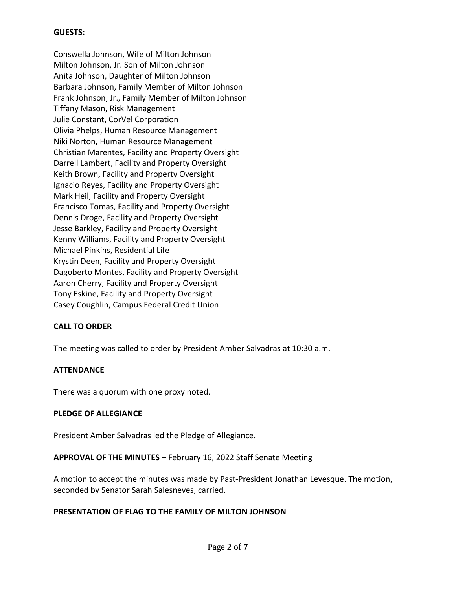# **GUESTS:**

Conswella Johnson, Wife of Milton Johnson Milton Johnson, Jr. Son of Milton Johnson Anita Johnson, Daughter of Milton Johnson Barbara Johnson, Family Member of Milton Johnson Frank Johnson, Jr., Family Member of Milton Johnson Tiffany Mason, Risk Management Julie Constant, CorVel Corporation Olivia Phelps, Human Resource Management Niki Norton, Human Resource Management Christian Marentes, Facility and Property Oversight Darrell Lambert, Facility and Property Oversight Keith Brown, Facility and Property Oversight Ignacio Reyes, Facility and Property Oversight Mark Heil, Facility and Property Oversight Francisco Tomas, Facility and Property Oversight Dennis Droge, Facility and Property Oversight Jesse Barkley, Facility and Property Oversight Kenny Williams, Facility and Property Oversight Michael Pinkins, Residential Life Krystin Deen, Facility and Property Oversight Dagoberto Montes, Facility and Property Oversight Aaron Cherry, Facility and Property Oversight Tony Eskine, Facility and Property Oversight Casey Coughlin, Campus Federal Credit Union

# **CALL TO ORDER**

The meeting was called to order by President Amber Salvadras at 10:30 a.m.

### **ATTENDANCE**

There was a quorum with one proxy noted.

### **PLEDGE OF ALLEGIANCE**

President Amber Salvadras led the Pledge of Allegiance.

### **APPROVAL OF THE MINUTES** – February 16, 2022 Staff Senate Meeting

A motion to accept the minutes was made by Past-President Jonathan Levesque. The motion, seconded by Senator Sarah Salesneves, carried.

### **PRESENTATION OF FLAG TO THE FAMILY OF MILTON JOHNSON**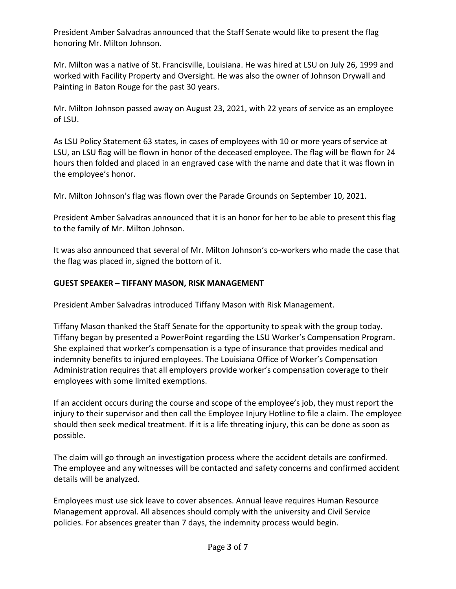President Amber Salvadras announced that the Staff Senate would like to present the flag honoring Mr. Milton Johnson.

Mr. Milton was a native of St. Francisville, Louisiana. He was hired at LSU on July 26, 1999 and worked with Facility Property and Oversight. He was also the owner of Johnson Drywall and Painting in Baton Rouge for the past 30 years.

Mr. Milton Johnson passed away on August 23, 2021, with 22 years of service as an employee of LSU.

As LSU Policy Statement 63 states, in cases of employees with 10 or more years of service at LSU, an LSU flag will be flown in honor of the deceased employee. The flag will be flown for 24 hours then folded and placed in an engraved case with the name and date that it was flown in the employee's honor.

Mr. Milton Johnson's flag was flown over the Parade Grounds on September 10, 2021.

President Amber Salvadras announced that it is an honor for her to be able to present this flag to the family of Mr. Milton Johnson.

It was also announced that several of Mr. Milton Johnson's co-workers who made the case that the flag was placed in, signed the bottom of it.

# **GUEST SPEAKER – TIFFANY MASON, RISK MANAGEMENT**

President Amber Salvadras introduced Tiffany Mason with Risk Management.

Tiffany Mason thanked the Staff Senate for the opportunity to speak with the group today. Tiffany began by presented a PowerPoint regarding the LSU Worker's Compensation Program. She explained that worker's compensation is a type of insurance that provides medical and indemnity benefits to injured employees. The Louisiana Office of Worker's Compensation Administration requires that all employers provide worker's compensation coverage to their employees with some limited exemptions.

If an accident occurs during the course and scope of the employee's job, they must report the injury to their supervisor and then call the Employee Injury Hotline to file a claim. The employee should then seek medical treatment. If it is a life threating injury, this can be done as soon as possible.

The claim will go through an investigation process where the accident details are confirmed. The employee and any witnesses will be contacted and safety concerns and confirmed accident details will be analyzed.

Employees must use sick leave to cover absences. Annual leave requires Human Resource Management approval. All absences should comply with the university and Civil Service policies. For absences greater than 7 days, the indemnity process would begin.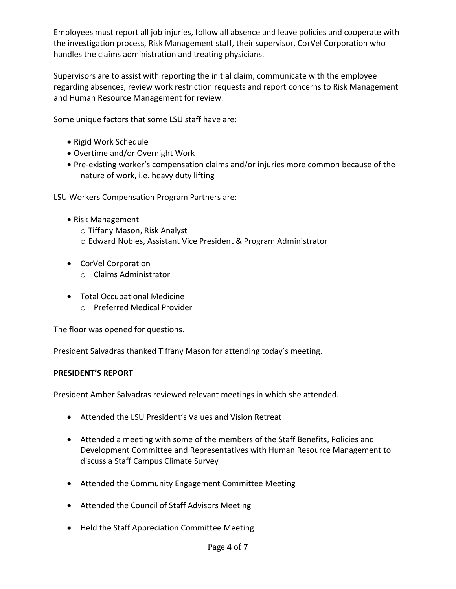Employees must report all job injuries, follow all absence and leave policies and cooperate with the investigation process, Risk Management staff, their supervisor, CorVel Corporation who handles the claims administration and treating physicians.

Supervisors are to assist with reporting the initial claim, communicate with the employee regarding absences, review work restriction requests and report concerns to Risk Management and Human Resource Management for review.

Some unique factors that some LSU staff have are:

- Rigid Work Schedule
- Overtime and/or Overnight Work
- Pre-existing worker's compensation claims and/or injuries more common because of the nature of work, i.e. heavy duty lifting

LSU Workers Compensation Program Partners are:

- Risk Management o Tiffany Mason, Risk Analyst o Edward Nobles, Assistant Vice President & Program Administrator
- CorVel Corporation
	- o Claims Administrator
- Total Occupational Medicine
	- o Preferred Medical Provider

The floor was opened for questions.

President Salvadras thanked Tiffany Mason for attending today's meeting.

# **PRESIDENT'S REPORT**

President Amber Salvadras reviewed relevant meetings in which she attended.

- Attended the LSU President's Values and Vision Retreat
- Attended a meeting with some of the members of the Staff Benefits, Policies and Development Committee and Representatives with Human Resource Management to discuss a Staff Campus Climate Survey
- Attended the Community Engagement Committee Meeting
- Attended the Council of Staff Advisors Meeting
- Held the Staff Appreciation Committee Meeting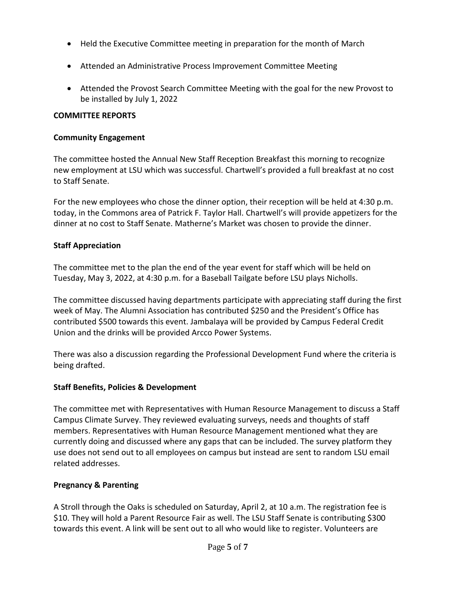- Held the Executive Committee meeting in preparation for the month of March
- Attended an Administrative Process Improvement Committee Meeting
- Attended the Provost Search Committee Meeting with the goal for the new Provost to be installed by July 1, 2022

# **COMMITTEE REPORTS**

# **Community Engagement**

The committee hosted the Annual New Staff Reception Breakfast this morning to recognize new employment at LSU which was successful. Chartwell's provided a full breakfast at no cost to Staff Senate.

For the new employees who chose the dinner option, their reception will be held at 4:30 p.m. today, in the Commons area of Patrick F. Taylor Hall. Chartwell's will provide appetizers for the dinner at no cost to Staff Senate. Matherne's Market was chosen to provide the dinner.

# **Staff Appreciation**

The committee met to the plan the end of the year event for staff which will be held on Tuesday, May 3, 2022, at 4:30 p.m. for a Baseball Tailgate before LSU plays Nicholls.

The committee discussed having departments participate with appreciating staff during the first week of May. The Alumni Association has contributed \$250 and the President's Office has contributed \$500 towards this event. Jambalaya will be provided by Campus Federal Credit Union and the drinks will be provided Arcco Power Systems.

There was also a discussion regarding the Professional Development Fund where the criteria is being drafted.

# **Staff Benefits, Policies & Development**

The committee met with Representatives with Human Resource Management to discuss a Staff Campus Climate Survey. They reviewed evaluating surveys, needs and thoughts of staff members. Representatives with Human Resource Management mentioned what they are currently doing and discussed where any gaps that can be included. The survey platform they use does not send out to all employees on campus but instead are sent to random LSU email related addresses.

# **Pregnancy & Parenting**

A Stroll through the Oaks is scheduled on Saturday, April 2, at 10 a.m. The registration fee is \$10. They will hold a Parent Resource Fair as well. The LSU Staff Senate is contributing \$300 towards this event. A link will be sent out to all who would like to register. Volunteers are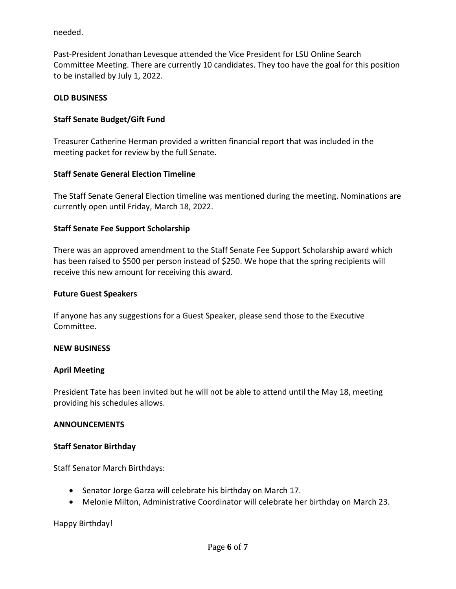needed.

Past-President Jonathan Levesque attended the Vice President for LSU Online Search Committee Meeting. There are currently 10 candidates. They too have the goal for this position to be installed by July 1, 2022.

### **OLD BUSINESS**

### **Staff Senate Budget/Gift Fund**

Treasurer Catherine Herman provided a written financial report that was included in the meeting packet for review by the full Senate.

### **Staff Senate General Election Timeline**

The Staff Senate General Election timeline was mentioned during the meeting. Nominations are currently open until Friday, March 18, 2022.

### **Staff Senate Fee Support Scholarship**

There was an approved amendment to the Staff Senate Fee Support Scholarship award which has been raised to \$500 per person instead of \$250. We hope that the spring recipients will receive this new amount for receiving this award.

### **Future Guest Speakers**

If anyone has any suggestions for a Guest Speaker, please send those to the Executive Committee.

### **NEW BUSINESS**

### **April Meeting**

President Tate has been invited but he will not be able to attend until the May 18, meeting providing his schedules allows.

### **ANNOUNCEMENTS**

### **Staff Senator Birthday**

Staff Senator March Birthdays:

- Senator Jorge Garza will celebrate his birthday on March 17.
- Melonie Milton, Administrative Coordinator will celebrate her birthday on March 23.

Happy Birthday!